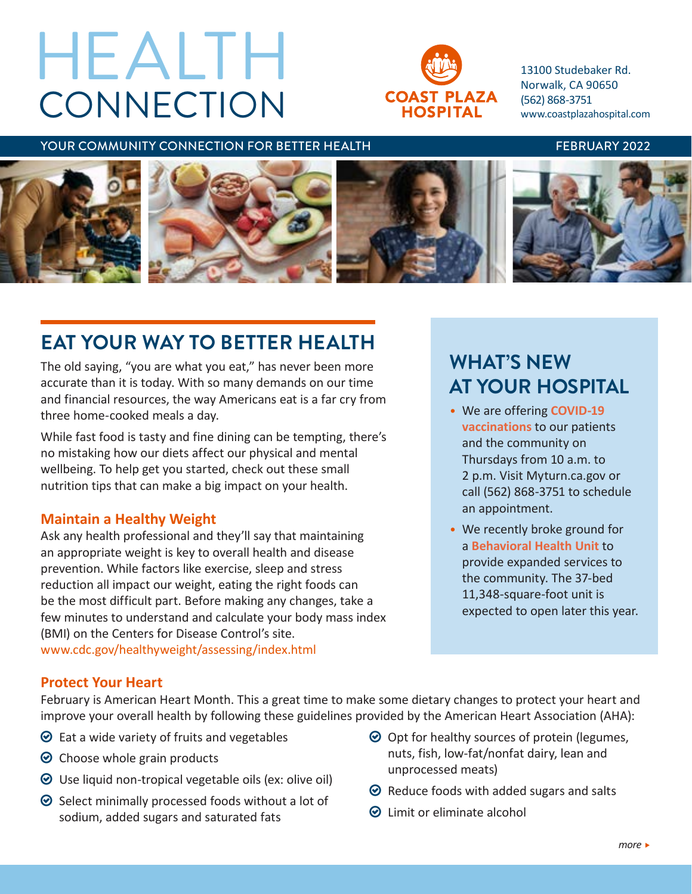# **CONNECTION** HEALTH



13100 Studebaker Rd. Norwalk, CA 90650 (562) 868-3751 [www.coastplazahospital.com](http://www.coastplazahospital.com)

#### YOUR COMMUNITY CONNECTION FOR BETTER HEALTH FEBRUARY 2022



# **EAT YOUR WAY TO BETTER HEALTH**

The old saying, "you are what you eat," has never been more accurate than it is today. With so many demands on our time and financial resources, the way Americans eat is a far cry from three home-cooked meals a day.

While fast food is tasty and fine dining can be tempting, there's no mistaking how our diets affect our physical and mental wellbeing. To help get you started, check out these small nutrition tips that can make a big impact on your health.

#### **Maintain a Healthy Weight**

Ask any health professional and they'll say that maintaining an appropriate weight is key to overall health and disease prevention. While factors like exercise, sleep and stress reduction all impact our weight, eating the right foods can be the most difficult part. Before making any changes, take a few minutes to understand and calculate your body mass index (BMI) on the Centers for Disease Control's site. [www.cdc.gov/healthyweight/assessing/index.html](https://www.cdc.gov/healthyweight/assessing/index.html)

# **WHAT'S NEW AT YOUR HOSPITAL**

- We are offering **COVID-19 vaccinations** to our patients and the community on Thursdays from 10 a.m. to 2 p.m. Visit Myturn.ca.gov or call (562) 868-3751 to schedule an appointment.
- We recently broke ground for a **Behavioral Health Unit** to provide expanded services to the community. The 37-bed 11,348-square-foot unit is expected to open later this year.

## **Protect Your Heart**

February is American Heart Month. This a great time to make some dietary changes to protect your heart and improve your overall health by following these guidelines provided by the American Heart Association (AHA):

- $\odot$  Eat a wide variety of fruits and vegetables
- $\odot$  Choose whole grain products
- $\odot$  Use liquid non-tropical vegetable oils (ex: olive oil)
- $\odot$  Select minimally processed foods without a lot of sodium, added sugars and saturated fats
- $\odot$  Opt for healthy sources of protein (legumes, nuts, fish, low-fat/nonfat dairy, lean and unprocessed meats)
- $\odot$  Reduce foods with added sugars and salts
- $\odot$  Limit or eliminate alcohol